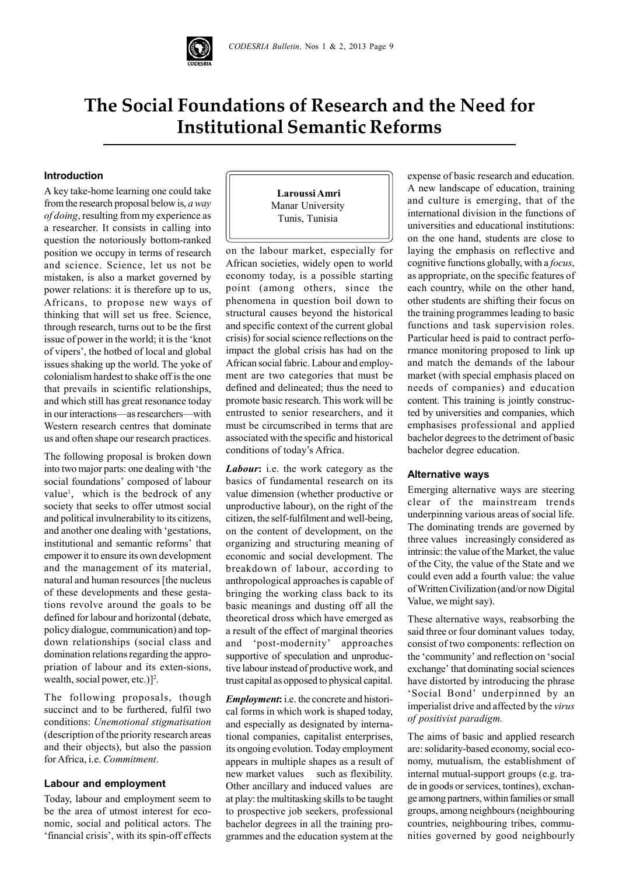

# **The Social Foundations of Research and the Need for Institutional Semantic Reforms**

## **Introduction**

A key take-home learning one could take from the research proposal below is, *a way of doing*, resulting from my experience as a researcher. It consists in calling into question the notoriously bottom-ranked position we occupy in terms of research and science. Science, let us not be mistaken, is also a market governed by power relations: it is therefore up to us, Africans, to propose new ways of thinking that will set us free. Science, through research, turns out to be the first issue of power in the world; it is the 'knot of vipers', the hotbed of local and global issues shaking up the world. The yoke of colonialism hardest to shake off is the one that prevails in scientific relationships, and which still has great resonance today in our interactions—as researchers—with Western research centres that dominate us and often shape our research practices.

The following proposal is broken down into two major parts: one dealing with 'the social foundations' composed of labour value<sup>1</sup>, which is the bedrock of any society that seeks to offer utmost social and political invulnerability to its citizens, and another one dealing with 'gestations, institutional and semantic reforms' that empower it to ensure its own development and the management of its material, natural and human resources [the nucleus of these developments and these gestations revolve around the goals to be defined for labour and horizontal (debate, policy dialogue, communication) and topdown relationships (social class and domination relations regarding the appropriation of labour and its exten-sions, wealth, social power, etc.)]<sup>2</sup>.

The following proposals, though succinct and to be furthered, fulfil two conditions: *Unemotional stigmatisation* (description of the priority research areas and their objects), but also the passion for Africa, i.e. *Commitment*.

## **Labour and employment**

Today, labour and employment seem to be the area of utmost interest for economic, social and political actors. The 'financial crisis', with its spin-off effects

 **Laroussi Amri** Manar University Tunis, Tunisia

on the labour market, especially for African societies, widely open to world economy today, is a possible starting point (among others, since the phenomena in question boil down to structural causes beyond the historical and specific context of the current global crisis) for social science reflections on the impact the global crisis has had on the African social fabric. Labour and employment are two categories that must be defined and delineated; thus the need to promote basic research. This work will be entrusted to senior researchers, and it must be circumscribed in terms that are associated with the specific and historical conditions of today's Africa.

*Labour***:** i.e. the work category as the basics of fundamental research on its value dimension (whether productive or unproductive labour), on the right of the citizen, the self-fulfilment and well-being, on the content of development, on the organizing and structuring meaning of economic and social development. The breakdown of labour, according to anthropological approaches is capable of bringing the working class back to its basic meanings and dusting off all the theoretical dross which have emerged as a result of the effect of marginal theories and 'post-modernity' approaches supportive of speculation and unproductive labour instead of productive work, and trust capital as opposed to physical capital.

*Employment***:** i.e. the concrete and historical forms in which work is shaped today, and especially as designated by international companies, capitalist enterprises, its ongoing evolution. Today employment appears in multiple shapes as a result of new market values such as flexibility. Other ancillary and induced values are at play: the multitasking skills to be taught to prospective job seekers, professional bachelor degrees in all the training programmes and the education system at the expense of basic research and education. A new landscape of education, training and culture is emerging, that of the international division in the functions of universities and educational institutions: on the one hand, students are close to laying the emphasis on reflective and cognitive functions globally, with a *focus*, as appropriate, on the specific features of each country, while on the other hand, other students are shifting their focus on the training programmes leading to basic functions and task supervision roles. Particular heed is paid to contract performance monitoring proposed to link up and match the demands of the labour market (with special emphasis placed on needs of companies) and education content. This training is jointly constructed by universities and companies, which emphasises professional and applied bachelor degrees to the detriment of basic bachelor degree education.

#### **Alternative ways**

Emerging alternative ways are steering clear of the mainstream trends underpinning various areas of social life. The dominating trends are governed by three values increasingly considered as intrinsic: the value of the Market, the value of the City, the value of the State and we could even add a fourth value: the value of Written Civilization (and/or now Digital Value, we might say).

These alternative ways, reabsorbing the said three or four dominant values today, consist of two components: reflection on the 'community' and reflection on 'social exchange' that dominating social sciences have distorted by introducing the phrase 'Social Bond' underpinned by an imperialist drive and affected by the *virus of positivist paradigm.*

The aims of basic and applied research are: solidarity-based economy, social economy, mutualism, the establishment of internal mutual-support groups (e.g. trade in goods or services, tontines), exchange among partners, within families or small groups, among neighbours (neighbouring countries, neighbouring tribes, communities governed by good neighbourly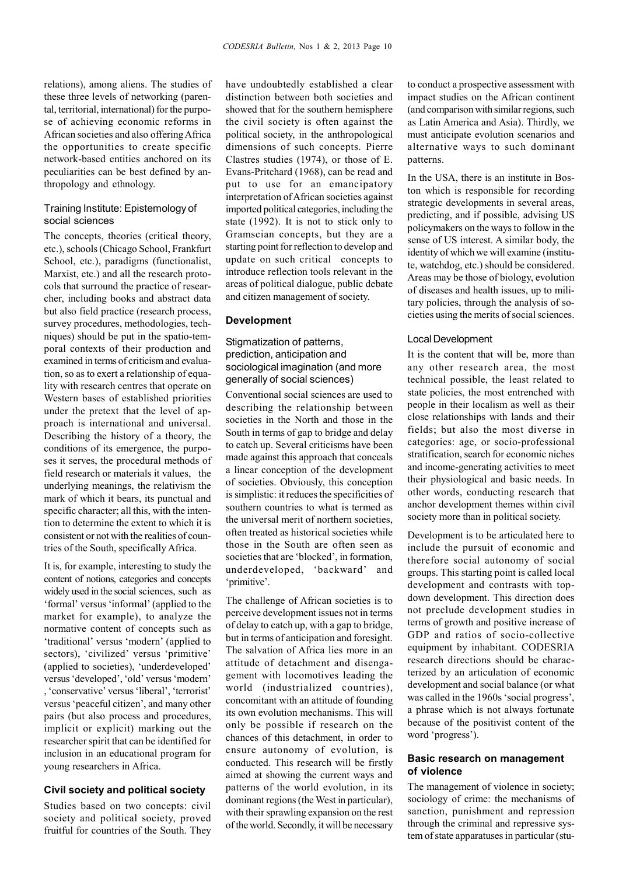relations), among aliens. The studies of these three levels of networking (parental, territorial, international) for the purpose of achieving economic reforms in African societies and also offering Africa the opportunities to create specific network-based entities anchored on its peculiarities can be best defined by anthropology and ethnology.

## Training Institute: Epistemology of social sciences

The concepts, theories (critical theory, etc.), schools (Chicago School, Frankfurt School, etc.), paradigms (functionalist, Marxist, etc.) and all the research protocols that surround the practice of researcher, including books and abstract data but also field practice (research process, survey procedures, methodologies, techniques) should be put in the spatio-temporal contexts of their production and examined in terms of criticism and evaluation, so as to exert a relationship of equality with research centres that operate on Western bases of established priorities under the pretext that the level of approach is international and universal. Describing the history of a theory, the conditions of its emergence, the purposes it serves, the procedural methods of field research or materials it values, the underlying meanings, the relativism the mark of which it bears, its punctual and specific character; all this, with the intention to determine the extent to which it is consistent or not with the realities of countries of the South, specifically Africa.

It is, for example, interesting to study the content of notions, categories and concepts widely used in the social sciences, such as 'formal' versus 'informal' (applied to the market for example), to analyze the normative content of concepts such as 'traditional' versus 'modern' (applied to sectors), 'civilized' versus 'primitive' (applied to societies), 'underdeveloped' versus 'developed', 'old' versus 'modern' , 'conservative' versus 'liberal', 'terrorist' versus 'peaceful citizen', and many other pairs (but also process and procedures, implicit or explicit) marking out the researcher spirit that can be identified for inclusion in an educational program for young researchers in Africa.

### **Civil society and political society**

Studies based on two concepts: civil society and political society, proved fruitful for countries of the South. They have undoubtedly established a clear distinction between both societies and showed that for the southern hemisphere the civil society is often against the political society, in the anthropological dimensions of such concepts. Pierre Clastres studies (1974), or those of E. Evans-Pritchard (1968), can be read and put to use for an emancipatory interpretation of African societies against imported political categories, including the state (1992). It is not to stick only to Gramscian concepts, but they are a starting point for reflection to develop and update on such critical concepts to introduce reflection tools relevant in the areas of political dialogue, public debate and citizen management of society.

#### **Development**

## Stigmatization of patterns. prediction, anticipation and sociological imagination (and more generally of social sciences)

Conventional social sciences are used to describing the relationship between societies in the North and those in the South in terms of gap to bridge and delay to catch up. Several criticisms have been made against this approach that conceals a linear conception of the development of societies. Obviously, this conception is simplistic: it reduces the specificities of southern countries to what is termed as the universal merit of northern societies, often treated as historical societies while those in the South are often seen as societies that are 'blocked', in formation, underdeveloped, 'backward' and 'primitive'.

The challenge of African societies is to perceive development issues not in terms of delay to catch up, with a gap to bridge, but in terms of anticipation and foresight. The salvation of Africa lies more in an attitude of detachment and disengagement with locomotives leading the world (industrialized countries), concomitant with an attitude of founding its own evolution mechanisms. This will only be possible if research on the chances of this detachment, in order to ensure autonomy of evolution, is conducted. This research will be firstly aimed at showing the current ways and patterns of the world evolution, in its dominant regions (the West in particular), with their sprawling expansion on the rest of the world. Secondly, it will be necessary

to conduct a prospective assessment with impact studies on the African continent (and comparison with similar regions, such as Latin America and Asia). Thirdly, we must anticipate evolution scenarios and alternative ways to such dominant patterns.

In the USA, there is an institute in Boston which is responsible for recording strategic developments in several areas, predicting, and if possible, advising US policymakers on the ways to follow in the sense of US interest. A similar body, the identity of which we will examine (institute, watchdog, etc.) should be considered. Areas may be those of biology, evolution of diseases and health issues, up to military policies, through the analysis of societies using the merits of social sciences.

#### Local Development

It is the content that will be, more than any other research area, the most technical possible, the least related to state policies, the most entrenched with people in their localism as well as their close relationships with lands and their fields; but also the most diverse in categories: age, or socio-professional stratification, search for economic niches and income-generating activities to meet their physiological and basic needs. In other words, conducting research that anchor development themes within civil society more than in political society.

Development is to be articulated here to include the pursuit of economic and therefore social autonomy of social groups. This starting point is called local development and contrasts with topdown development. This direction does not preclude development studies in terms of growth and positive increase of GDP and ratios of socio-collective equipment by inhabitant. CODESRIA research directions should be characterized by an articulation of economic development and social balance (or what was called in the 1960s 'social progress', a phrase which is not always fortunate because of the positivist content of the word 'progress').

## **Basic research on management of violence**

The management of violence in society; sociology of crime: the mechanisms of sanction, punishment and repression through the criminal and repressive system of state apparatuses in particular (stu